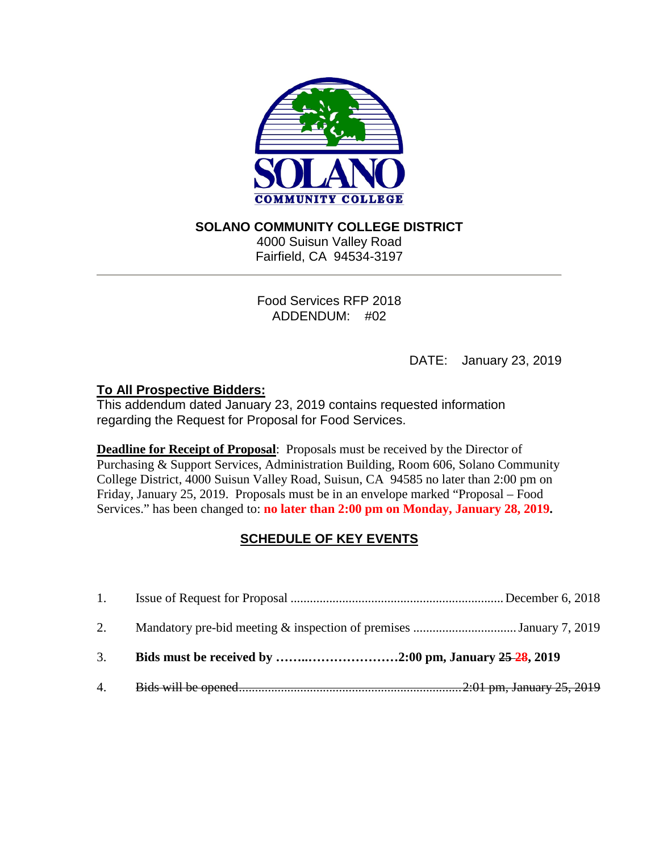

# **SOLANO COMMUNITY COLLEGE DISTRICT**

4000 Suisun Valley Road Fairfield, CA 94534-3197

Food Services RFP 2018 ADDENDUM: #02

DATE: January 23, 2019

# **To All Prospective Bidders:**

This addendum dated January 23, 2019 contains requested information regarding the Request for Proposal for Food Services.

**Deadline for Receipt of Proposal**: Proposals must be received by the Director of Purchasing & Support Services, Administration Building, Room 606, Solano Community College District, 4000 Suisun Valley Road, Suisun, CA 94585 no later than 2:00 pm on Friday, January 25, 2019. Proposals must be in an envelope marked "Proposal – Food Services." has been changed to: **no later than 2:00 pm on Monday, January 28, 2019.** 

# **SCHEDULE OF KEY EVENTS**

| 3. |  |
|----|--|
|    |  |